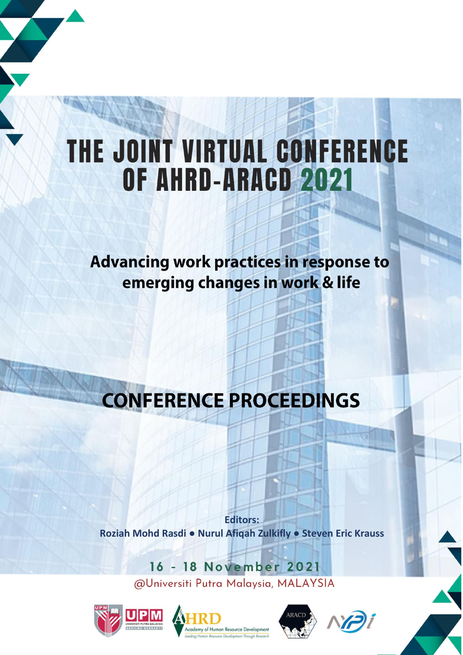# THE JOINT VIRTUAL CONFERENCE OF AHRD-ARACD 2021

**Advancing work practices in response to** emerging changes in work & life

# **CONFERENCE PROCEEDINGS**

**Editors:** Roziah Mohd Rasdi · Nurul Afiqah Zulkifly · Steven Eric Krauss

> 16 - 18 November 2021 @Universiti Putra Malaysia, MALAYSIA







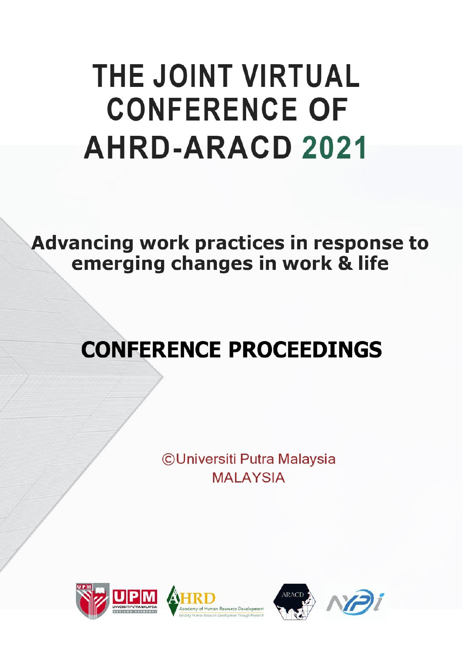# **THE JOINT VIRTUAL CONFERENCE OF AHRD-ARACD 2021**

**Advancing work practices in response to** emerging changes in work & life

# **CONFERENCE PROCEEDINGS**

**CUniversiti Putra Malaysia MAI AYSIA** 





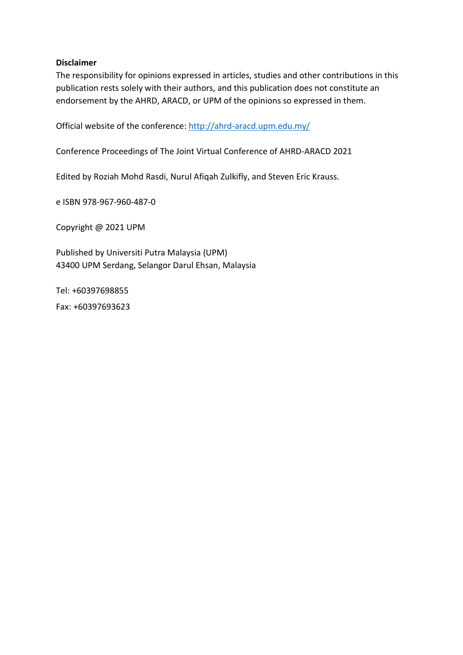#### **Disclaimer**

The responsibility for opinions expressed in articles, studies and other contributions in this publication rests solely with their authors, and this publication does not constitute an endorsement by the AHRD, ARACD, or UPM of the opinions so expressed in them.

Official website of the conference[: http://ahrd-aracd.upm.edu.my/](http://ahrd-aracd.upm.edu.my/)

Conference Proceedings of The Joint Virtual Conference of AHRD-ARACD 2021

Edited by Roziah Mohd Rasdi, Nurul Afiqah Zulkifly, and Steven Eric Krauss.

e ISBN 978-967-960-487-0

Copyright @ 2021 UPM

Published by Universiti Putra Malaysia (UPM) 43400 UPM Serdang, Selangor Darul Ehsan, Malaysia

Tel: +60397698855 Fax: +60397693623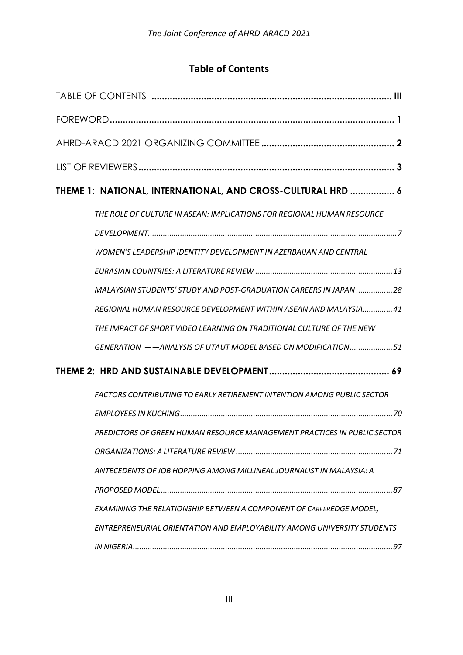## **Table of Contents**

<span id="page-3-0"></span>

| THEME 1: NATIONAL, INTERNATIONAL, AND CROSS-CULTURAL HRD  6                    |
|--------------------------------------------------------------------------------|
| THE ROLE OF CULTURE IN ASEAN: IMPLICATIONS FOR REGIONAL HUMAN RESOURCE         |
|                                                                                |
| WOMEN'S LEADERSHIP IDENTITY DEVELOPMENT IN AZERBAIJAN AND CENTRAL              |
|                                                                                |
| MALAYSIAN STUDENTS' STUDY AND POST-GRADUATION CAREERS IN JAPAN 28              |
| REGIONAL HUMAN RESOURCE DEVELOPMENT WITHIN ASEAN AND MALAYSIA41                |
| THE IMPACT OF SHORT VIDEO LEARNING ON TRADITIONAL CULTURE OF THE NEW           |
| GENERATION -- ANALYSIS OF UTAUT MODEL BASED ON MODIFICATION51                  |
|                                                                                |
| <b>FACTORS CONTRIBUTING TO EARLY RETIREMENT INTENTION AMONG PUBLIC SECTOR</b>  |
|                                                                                |
| PREDICTORS OF GREEN HUMAN RESOURCE MANAGEMENT PRACTICES IN PUBLIC SECTOR       |
|                                                                                |
| ANTECEDENTS OF JOB HOPPING AMONG MILLINEAL JOURNALIST IN MALAYSIA: A           |
|                                                                                |
| <b>EXAMINING THE RELATIONSHIP BETWEEN A COMPONENT OF CAREEREDGE MODEL,</b>     |
| <b>ENTREPRENEURIAL ORIENTATION AND EMPLOYABILITY AMONG UNIVERSITY STUDENTS</b> |
|                                                                                |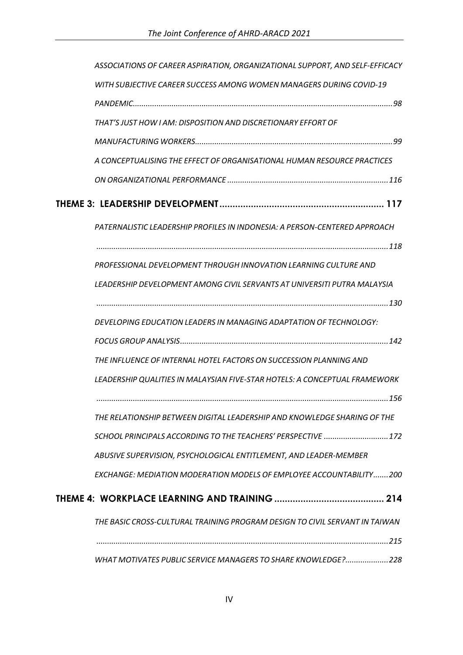|  | ASSOCIATIONS OF CAREER ASPIRATION, ORGANIZATIONAL SUPPORT, AND SELF-EFFICACY |  |
|--|------------------------------------------------------------------------------|--|
|  | WITH SUBJECTIVE CAREER SUCCESS AMONG WOMEN MANAGERS DURING COVID-19          |  |
|  |                                                                              |  |
|  | THAT'S JUST HOW I AM: DISPOSITION AND DISCRETIONARY EFFORT OF                |  |
|  |                                                                              |  |
|  | A CONCEPTUALISING THE EFFECT OF ORGANISATIONAL HUMAN RESOURCE PRACTICES      |  |
|  |                                                                              |  |
|  |                                                                              |  |
|  | PATERNALISTIC LEADERSHIP PROFILES IN INDONESIA: A PERSON-CENTERED APPROACH   |  |
|  |                                                                              |  |
|  | PROFESSIONAL DEVELOPMENT THROUGH INNOVATION LEARNING CULTURE AND             |  |
|  | LEADERSHIP DEVELOPMENT AMONG CIVIL SERVANTS AT UNIVERSITI PUTRA MALAYSIA     |  |
|  |                                                                              |  |
|  | DEVELOPING EDUCATION LEADERS IN MANAGING ADAPTATION OF TECHNOLOGY:           |  |
|  |                                                                              |  |
|  | THE INFLUENCE OF INTERNAL HOTEL FACTORS ON SUCCESSION PLANNING AND           |  |
|  | LEADERSHIP QUALITIES IN MALAYSIAN FIVE-STAR HOTELS: A CONCEPTUAL FRAMEWORK   |  |
|  |                                                                              |  |
|  | THE RELATIONSHIP BETWEEN DIGITAL LEADERSHIP AND KNOWLEDGE SHARING OF THE     |  |
|  | SCHOOL PRINCIPALS ACCORDING TO THE TEACHERS' PERSPECTIVE 172                 |  |
|  | ABUSIVE SUPERVISION, PSYCHOLOGICAL ENTITLEMENT, AND LEADER-MEMBER            |  |
|  | EXCHANGE: MEDIATION MODERATION MODELS OF EMPLOYEE ACCOUNTABILITY200          |  |
|  |                                                                              |  |
|  | THE BASIC CROSS-CULTURAL TRAINING PROGRAM DESIGN TO CIVIL SERVANT IN TAIWAN  |  |
|  |                                                                              |  |
|  | WHAT MOTIVATES PUBLIC SERVICE MANAGERS TO SHARE KNOWLEDGE?228                |  |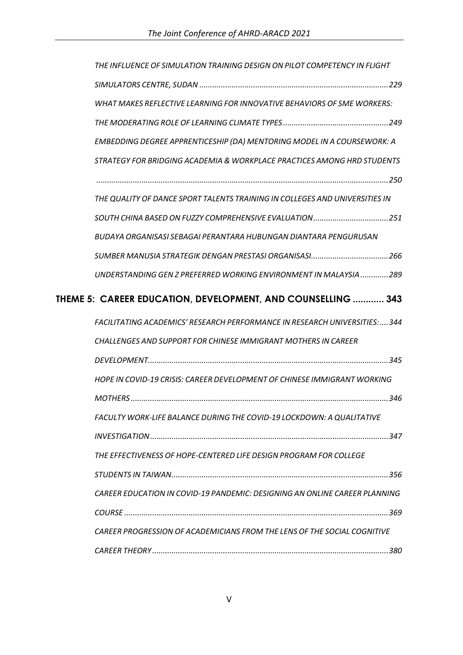| THE INFLUENCE OF SIMULATION TRAINING DESIGN ON PILOT COMPETENCY IN FLIGHT      |
|--------------------------------------------------------------------------------|
|                                                                                |
| WHAT MAKES REFLECTIVE LEARNING FOR INNOVATIVE BEHAVIORS OF SME WORKERS:        |
|                                                                                |
| <b>EMBEDDING DEGREE APPRENTICESHIP (DA) MENTORING MODEL IN A COURSEWORK: A</b> |
| STRATEGY FOR BRIDGING ACADEMIA & WORKPLACE PRACTICES AMONG HRD STUDENTS        |
|                                                                                |
| THE QUALITY OF DANCE SPORT TALENTS TRAINING IN COLLEGES AND UNIVERSITIES IN    |
| SOUTH CHINA BASED ON FUZZY COMPREHENSIVE EVALUATION251                         |
| BUDAYA ORGANISASI SEBAGAI PERANTARA HUBUNGAN DIANTARA PENGURUSAN               |
|                                                                                |
| UNDERSTANDING GEN Z PREFERRED WORKING ENVIRONMENT IN MALAYSIA289               |
| THEME 5: CAREER EDUCATION, DEVELOPMENT, AND COUNSELLING  343                   |
|                                                                                |
| FACILITATING ACADEMICS' RESEARCH PERFORMANCE IN RESEARCH UNIVERSITIES:  344    |
| <b>CHALLENGES AND SUPPORT FOR CHINESE IMMIGRANT MOTHERS IN CAREER</b>          |
|                                                                                |
| HOPE IN COVID-19 CRISIS: CAREER DEVELOPMENT OF CHINESE IMMIGRANT WORKING       |
|                                                                                |
| FACULTY WORK-LIFE BALANCE DURING THE COVID-19 LOCKDOWN: A QUALITATIVE          |
|                                                                                |
| THE EFFECTIVENESS OF HOPE-CENTERED LIFE DESIGN PROGRAM FOR COLLEGE             |
|                                                                                |
| CAREER EDUCATION IN COVID-19 PANDEMIC: DESIGNING AN ONLINE CAREER PLANNING     |
|                                                                                |
| CAREER PROGRESSION OF ACADEMICIANS FROM THE LENS OF THE SOCIAL COGNITIVE       |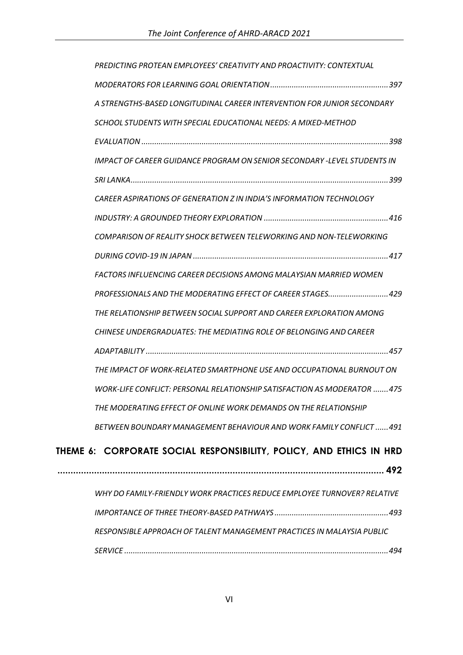| PREDICTING PROTEAN EMPLOYEES' CREATIVITY AND PROACTIVITY: CONTEXTUAL            |
|---------------------------------------------------------------------------------|
|                                                                                 |
| A STRENGTHS-BASED LONGITUDINAL CAREER INTERVENTION FOR JUNIOR SECONDARY         |
| SCHOOL STUDENTS WITH SPECIAL EDUCATIONAL NEEDS: A MIXED-METHOD                  |
|                                                                                 |
| <b>IMPACT OF CAREER GUIDANCE PROGRAM ON SENIOR SECONDARY -LEVEL STUDENTS IN</b> |
|                                                                                 |
| <b>CAREER ASPIRATIONS OF GENERATION Z IN INDIA'S INFORMATION TECHNOLOGY</b>     |
|                                                                                 |
| COMPARISON OF REALITY SHOCK BETWEEN TELEWORKING AND NON-TELEWORKING             |
|                                                                                 |
| FACTORS INFLUENCING CAREER DECISIONS AMONG MALAYSIAN MARRIED WOMEN              |
| PROFESSIONALS AND THE MODERATING EFFECT OF CAREER STAGES429                     |
| THE RELATIONSHIP BETWEEN SOCIAL SUPPORT AND CAREER EXPLORATION AMONG            |
| <b>CHINESE UNDERGRADUATES: THE MEDIATING ROLE OF BELONGING AND CAREER</b>       |
|                                                                                 |
| THE IMPACT OF WORK-RELATED SMARTPHONE USE AND OCCUPATIONAL BURNOUT ON           |
| WORK-LIFE CONFLICT: PERSONAL RELATIONSHIP SATISFACTION AS MODERATOR 475         |
| THE MODERATING EFFECT OF ONLINE WORK DEMANDS ON THE RELATIONSHIP                |
| BETWEEN BOUNDARY MANAGEMENT BEHAVIOUR AND WORK FAMILY CONFLICT 491              |
| THEME 6: CORPORATE SOCIAL RESPONSIBILITY, POLICY, AND ETHICS IN HRD             |
|                                                                                 |
| WHY DO FAMILY-FRIENDLY WORK PRACTICES REDUCE EMPLOYEE TURNOVER? RELATIVE        |
|                                                                                 |
|                                                                                 |
| RESPONSIBLE APPROACH OF TALENT MANAGEMENT PRACTICES IN MALAYSIA PUBLIC          |
|                                                                                 |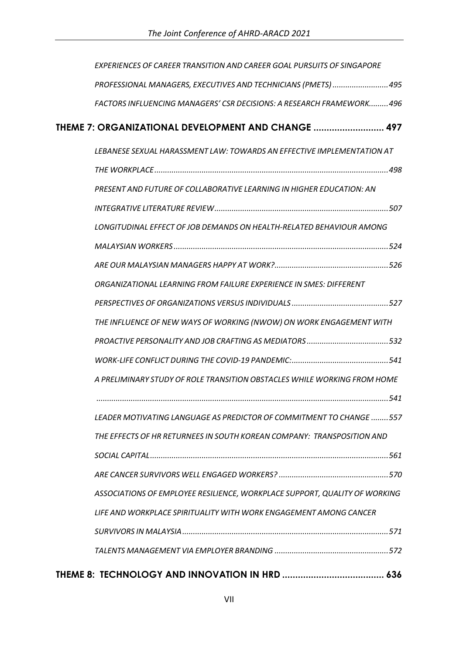| <b>EXPERIENCES OF CAREER TRANSITION AND CAREER GOAL PURSUITS OF SINGAPORE</b> |
|-------------------------------------------------------------------------------|
| PROFESSIONAL MANAGERS, EXECUTIVES AND TECHNICIANS (PMETS)495                  |
| FACTORS INFLUENCING MANAGERS' CSR DECISIONS: A RESEARCH FRAMEWORK496          |
| THEME 7: ORGANIZATIONAL DEVELOPMENT AND CHANGE  497                           |
| LEBANESE SEXUAL HARASSMENT LAW: TOWARDS AN EFFECTIVE IMPLEMENTATION AT        |
|                                                                               |
| PRESENT AND FUTURE OF COLLABORATIVE LEARNING IN HIGHER EDUCATION: AN          |
|                                                                               |
| LONGITUDINAL EFFECT OF JOB DEMANDS ON HEALTH-RELATED BEHAVIOUR AMONG          |
|                                                                               |
|                                                                               |
| ORGANIZATIONAL LEARNING FROM FAILURE EXPERIENCE IN SMES: DIFFERENT            |
|                                                                               |
| THE INFLUENCE OF NEW WAYS OF WORKING (NWOW) ON WORK ENGAGEMENT WITH           |
|                                                                               |
|                                                                               |
| A PRELIMINARY STUDY OF ROLE TRANSITION OBSTACLES WHILE WORKING FROM HOME      |
|                                                                               |
| LEADER MOTIVATING LANGUAGE AS PREDICTOR OF COMMITMENT TO CHANGE 557           |
| THE EFFECTS OF HR RETURNEES IN SOUTH KOREAN COMPANY: TRANSPOSITION AND        |
|                                                                               |
|                                                                               |
| ASSOCIATIONS OF EMPLOYEE RESILIENCE, WORKPLACE SUPPORT, QUALITY OF WORKING    |
| LIFE AND WORKPLACE SPIRITUALITY WITH WORK ENGAGEMENT AMONG CANCER             |
|                                                                               |
|                                                                               |
|                                                                               |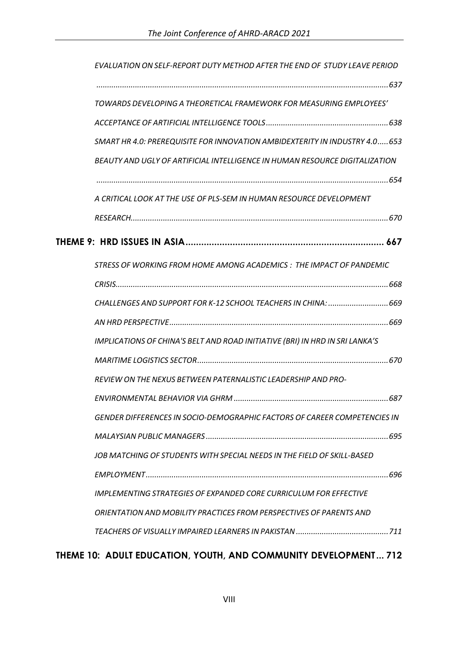| EVALUATION ON SELF-REPORT DUTY METHOD AFTER THE END OF STUDY LEAVE PERIOD        |
|----------------------------------------------------------------------------------|
|                                                                                  |
| TOWARDS DEVELOPING A THEORETICAL FRAMEWORK FOR MEASURING EMPLOYEES'              |
|                                                                                  |
| SMART HR 4.0: PREREQUISITE FOR INNOVATION AMBIDEXTERITY IN INDUSTRY 4.0 653      |
| BEAUTY AND UGLY OF ARTIFICIAL INTELLIGENCE IN HUMAN RESOURCE DIGITALIZATION      |
|                                                                                  |
| A CRITICAL LOOK AT THE USE OF PLS-SEM IN HUMAN RESOURCE DEVELOPMENT              |
|                                                                                  |
|                                                                                  |
| STRESS OF WORKING FROM HOME AMONG ACADEMICS : THE IMPACT OF PANDEMIC             |
|                                                                                  |
| CHALLENGES AND SUPPORT FOR K-12 SCHOOL TEACHERS IN CHINA:  669                   |
|                                                                                  |
| IMPLICATIONS OF CHINA'S BELT AND ROAD INITIATIVE (BRI) IN HRD IN SRI LANKA'S     |
|                                                                                  |
| REVIEW ON THE NEXUS BETWEEN PATERNALISTIC LEADERSHIP AND PRO-                    |
|                                                                                  |
| <b>GENDER DIFFERENCES IN SOCIO-DEMOGRAPHIC FACTORS OF CAREER COMPETENCIES IN</b> |
|                                                                                  |
| JOB MATCHING OF STUDENTS WITH SPECIAL NEEDS IN THE FIELD OF SKILL-BASED          |
|                                                                                  |
| <b>IMPLEMENTING STRATEGIES OF EXPANDED CORE CURRICULUM FOR EFFECTIVE</b>         |
| ORIENTATION AND MOBILITY PRACTICES FROM PERSPECTIVES OF PARENTS AND              |
|                                                                                  |

## **THEME 10: ADULT EDUCATION, YOUTH, AND COMMUNITY DEVELOPMENT ... 712**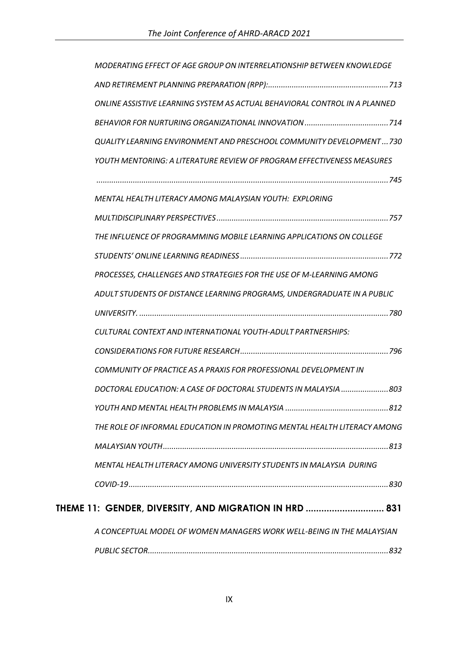| MODERATING EFFECT OF AGE GROUP ON INTERRELATIONSHIP BETWEEN KNOWLEDGE      |
|----------------------------------------------------------------------------|
|                                                                            |
| ONLINE ASSISTIVE LEARNING SYSTEM AS ACTUAL BEHAVIORAL CONTROL IN A PLANNED |
|                                                                            |
| QUALITY LEARNING ENVIRONMENT AND PRESCHOOL COMMUNITY DEVELOPMENT730        |
| YOUTH MENTORING: A LITERATURE REVIEW OF PROGRAM EFFECTIVENESS MEASURES     |
|                                                                            |
| MENTAL HEALTH LITERACY AMONG MALAYSIAN YOUTH: EXPLORING                    |
|                                                                            |
| THE INFLUENCE OF PROGRAMMING MOBILE LEARNING APPLICATIONS ON COLLEGE       |
|                                                                            |
| PROCESSES, CHALLENGES AND STRATEGIES FOR THE USE OF M-LEARNING AMONG       |
| ADULT STUDENTS OF DISTANCE LEARNING PROGRAMS, UNDERGRADUATE IN A PUBLIC    |
|                                                                            |
| CULTURAL CONTEXT AND INTERNATIONAL YOUTH-ADULT PARTNERSHIPS:               |
|                                                                            |
| COMMUNITY OF PRACTICE AS A PRAXIS FOR PROFESSIONAL DEVELOPMENT IN          |
| DOCTORAL EDUCATION: A CASE OF DOCTORAL STUDENTS IN MALAYSIA 803            |
| .812                                                                       |
| THE ROLE OF INFORMAL EDUCATION IN PROMOTING MENTAL HEALTH LITERACY AMONG   |
|                                                                            |
| MENTAL HEALTH LITERACY AMONG UNIVERSITY STUDENTS IN MALAYSIA DURING        |
|                                                                            |
| THEME 11: GENDER, DIVERSITY, AND MIGRATION IN HRD  831                     |
| A CONCEPTUAL MODEL OF WOMEN MANAGERS WORK WELL-BEING IN THE MALAYSIAN      |
|                                                                            |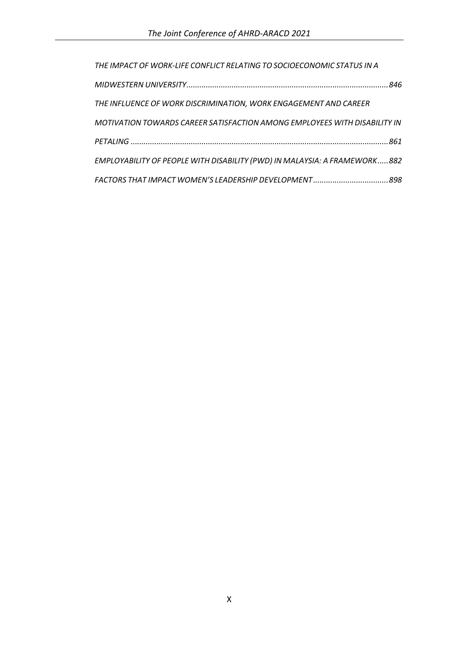| THE IMPACT OF WORK-LIFE CONFLICT RELATING TO SOCIOECONOMIC STATUS IN A    |
|---------------------------------------------------------------------------|
|                                                                           |
| THE INFLUENCE OF WORK DISCRIMINATION, WORK ENGAGEMENT AND CAREER          |
| MOTIVATION TOWARDS CAREER SATISFACTION AMONG EMPLOYEES WITH DISABILITY IN |
|                                                                           |
| EMPLOYABILITY OF PEOPLE WITH DISABILITY (PWD) IN MALAYSIA: A FRAMEWORK882 |
|                                                                           |